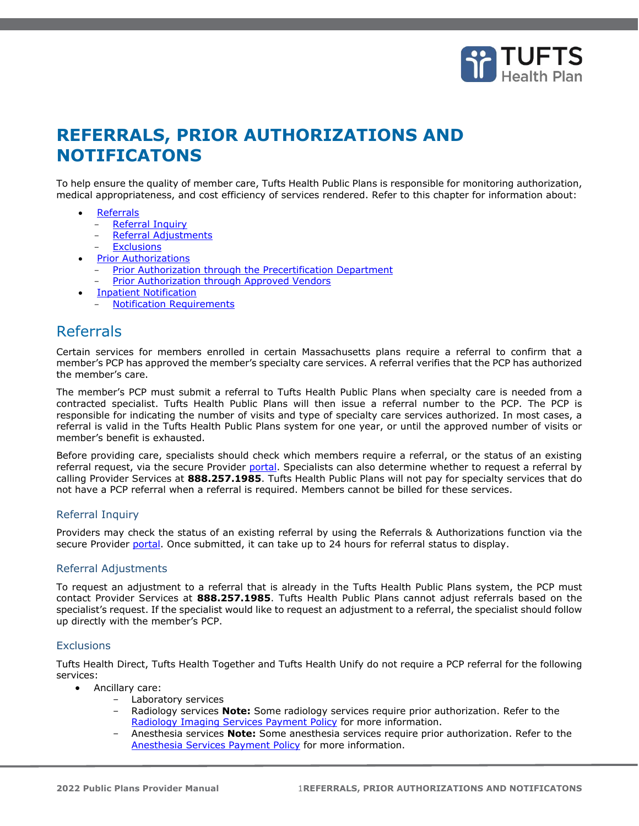

# **REFERRALS, PRIOR AUTHORIZATIONS AND NOTIFICATONS**

To help ensure the quality of member care, Tufts Health Public Plans is responsible for monitoring authorization, medical appropriateness, and cost efficiency of services rendered. Refer to this chapter for information about:

- **[Referrals](#page-0-0)** 
	- **[Referral Inquiry](#page-0-1)**
	- [Referral Adjustments](#page-0-2)
	- **[Exclusions](#page-0-3)**
- **[Prior Authorizations](#page-1-0)** 
	- [Prior Authorization through the Precertification Department](#page-2-0)
	- [Prior Authorization through Approved Vendors](#page-2-1)
- [Inpatient Notification](#page-3-0)
- **[Notification Requirements](#page-3-1)**

## <span id="page-0-0"></span>Referrals

Certain services for members enrolled in certain Massachusetts plans require a referral to confirm that a member's PCP has approved the member's specialty care services. A referral verifies that the PCP has authorized the member's care.

The member's PCP must submit a referral to Tufts Health Public Plans when specialty care is needed from a contracted specialist. Tufts Health Public Plans will then issue a referral number to the PCP. The PCP is responsible for indicating the number of visits and type of specialty care services authorized. In most cases, a referral is valid in the Tufts Health Public Plans system for one year, or until the approved number of visits or member's benefit is exhausted.

Before providing care, specialists should check which members require a referral, or the status of an existing referral request, via [the](https://thpprovider.healthtrioconnect.com/app/index.page?) secure Provider [portal.](https://tuftshealthplan.com/login) Specialists can also determine whether to request a referral by calling Provider Services at **888.257.1985**. Tufts Health Public Plans will not pay for specialty services that do not have a PCP referral when a referral is required. Members cannot be billed for these services.

## <span id="page-0-1"></span>Referral Inquiry

Providers may check the status of an existing referral by using the Referrals & Authorizations function via the secure Provider [portal.](https://tuftshealthplan.com/login) Once submitted, it can take up to 24 hours for referral status to display.

## <span id="page-0-2"></span>Referral Adjustments

To request an adjustment to a referral that is already in the Tufts Health Public Plans system, the PCP must contact Provider Services at **888.257.1985**. Tufts Health Public Plans cannot adjust referrals based on the specialist's request. If the specialist would like to request an adjustment to a referral, the specialist should follow up directly with the member's PCP.

## <span id="page-0-3"></span>**Exclusions**

Tufts Health Direct, Tufts Health Together and Tufts Health Unify do not require a PCP referral for the following services:

- Ancillary care:
	- Laboratory services
	- Radiology services **Note:** Some radiology services require prior authorization. Refer to the [Radiology Imaging Services Payment Policy](https://tuftshealthplan.com/documents/providers/payment-policies/tufts-health-public-plans/together/radiology-imaging-services-payment-policy-tht) for more information.
	- Anesthesia services **Note:** Some anesthesia services require prior authorization. Refer to the [Anesthesia Services Payment Policy](https://tuftshealthplan.com/documents/providers/payment-policies/tufts-health-public-plans/together/anesthesia-services-payment-policy-tht) for more information.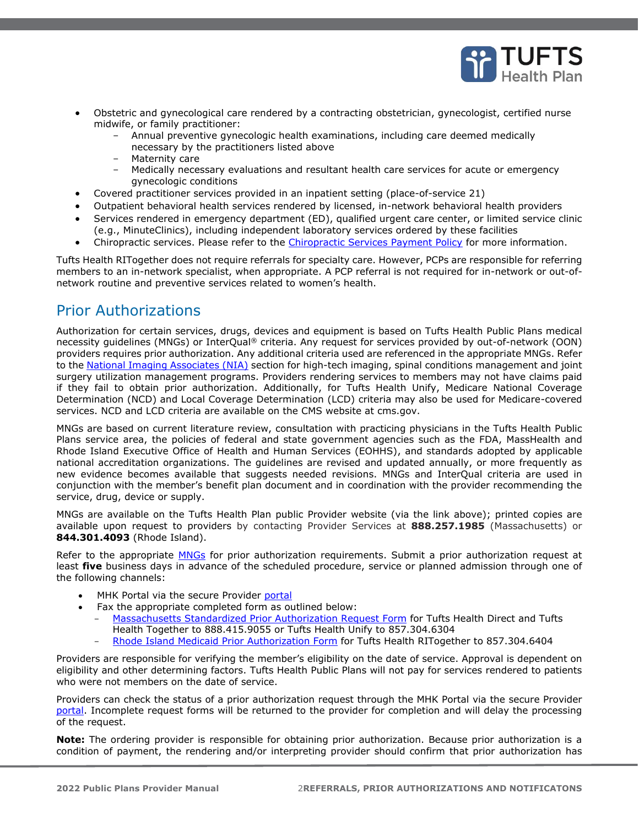

- Obstetric and gynecological care rendered by a contracting obstetrician, gynecologist, certified nurse midwife, or family practitioner:
	- Annual preventive gynecologic health examinations, including care deemed medically necessary by the practitioners listed above
	- Maternity care
	- Medically necessary evaluations and resultant health care services for acute or emergency gynecologic conditions
- Covered practitioner services provided in an inpatient setting (place-of-service 21)
- Outpatient behavioral health services rendered by licensed, in-network behavioral health providers
- Services rendered in emergency department (ED), qualified urgent care center, or limited service clinic (e.g., MinuteClinics), including independent laboratory services ordered by these facilities
- Chiropractic services. Please refer to the [Chiropractic Services Payment Policy](https://tuftshealthplan.com/documents/providers/payment-policies/tufts-health-public-plans/ma/chiropractic-services) for more information.

Tufts Health RITogether does not require referrals for specialty care. However, PCPs are responsible for referring members to an in-network specialist, when appropriate. A PCP referral is not required for in-network or out-ofnetwork routine and preventive services related to women's health.

## <span id="page-1-0"></span>Prior Authorizations

Authorization for certain services, drugs, devices and equipment is based on Tufts Health Public Plans medical necessity guidelines (MNGs) or InterQual® criteria. Any request for services provided by out-of-network (OON) providers requires prior authorization. Any additional criteria used are referenced in the appropriate MNGs. Refer to the [National Imaging Associates \(NIA\)](#page-2-2) section for high-tech imaging, spinal conditions management and joint surgery utilization management programs. Providers rendering services to members may not have claims paid if they fail to obtain prior authorization. Additionally, for Tufts Health Unify, Medicare National Coverage Determination (NCD) and Local Coverage Determination (LCD) criteria may also be used for Medicare-covered services. NCD and LCD criteria are available on the CMS website at cms.gov.

MNGs are based on current literature review, consultation with practicing physicians in the Tufts Health Public Plans service area, the policies of federal and state government agencies such as the FDA, MassHealth and Rhode Island Executive Office of Health and Human Services (EOHHS), and standards adopted by applicable national accreditation organizations. The guidelines are revised and updated annually, or more frequently as new evidence becomes available that suggests needed revisions. MNGs and InterQual criteria are used in conjunction with the member's benefit plan document and in coordination with the provider recommending the service, drug, device or supply.

MNGs are available on the Tufts Health Plan public Provider website (via the link above); printed copies are available upon request to providers by contacting Provider Services at **888.257.1985** (Massachusetts) or **844.301.4093** (Rhode Island).

Refer to the appropriate [MNGs](https://tuftshealthplan.com/provider/resource-center/resource-center#?d=1a41c0|39dfde|845238|401109|c32f08&c=4e895e|4d2a36|15cb4a) for prior authorization requirements. Submit a prior authorization request at least **five** business days in advance of the scheduled procedure, service or planned admission through one of the following channels:

- MHK Portal via [the](https://thpprovider.healthtrioconnect.com/app/index.page?) secure Provider [portal](https://tuftshealthplan.com/login)
- Fax the appropriate completed form as outlined below:
	- [Massachusetts Standardized Prior Authorization Request Form](https://tuftshealthplan.com/documents/providers/forms/standardized-prior-authorization-request) for Tufts Health Direct and Tufts Health Together to 888.415.9055 or Tufts Health Unify to 857.304.6304
	- [Rhode Island Medicaid Prior Authorization Form](https://tuftshealthplan.com/documents/providers/forms/rit-prior-authorization-request-form) for Tufts Health RITogether to 857.304.6404

Providers are responsible for verifying the member's eligibility on the date of service. Approval is dependent on eligibility and other determining factors. Tufts Health Public Plans will not pay for services rendered to patients who were not members on the date of service.

Providers can check the status of a prior authorization request through the MHK Portal via [the](https://thpprovider.healthtrioconnect.com/app/index.page?) secure Provider [portal.](https://tuftshealthplan.com/login) Incomplete request forms will be returned to the provider for completion and will delay the processing of the request.

**Note:** The ordering provider is responsible for obtaining prior authorization. Because prior authorization is a condition of payment, the rendering and/or interpreting provider should confirm that prior authorization has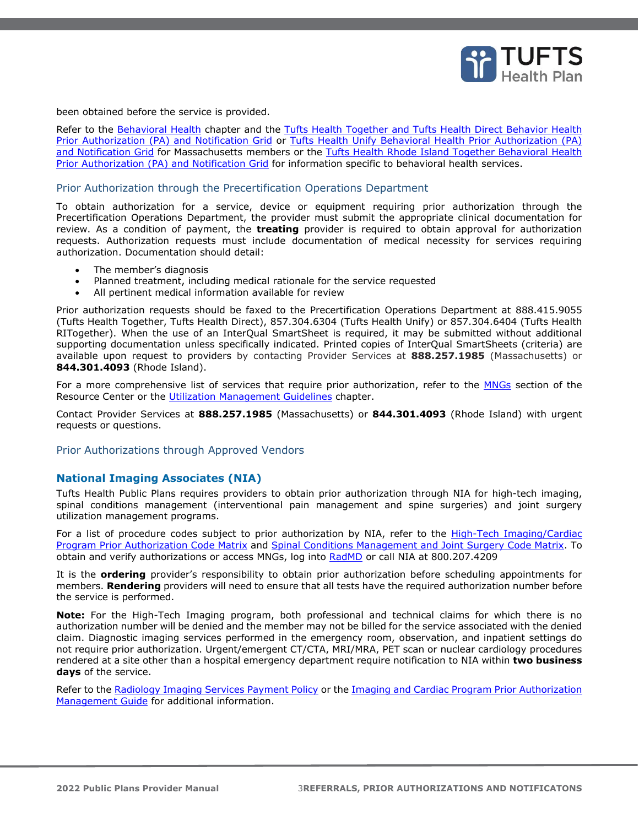

been obtained before the service is provided.

Refer to the Behavioral Health chapter and the Tufts Health Together and Tufts Health Direct Behavior Health [Prior Authorization \(PA\) and Notification Grid](https://tuftshealthplan.com/documents/providers/general/bh-pa-notification-grid) or [Tufts Health Unify Behavioral Health Prior Authorization \(PA\)](https://tuftshealthplan.com/documents/providers/general/unify-bh-pa-notification-grid)  [and Notification Grid](https://tuftshealthplan.com/documents/providers/general/unify-bh-pa-notification-grid) for Massachusetts members or the [Tufts Health Rhode Island Together Behavioral Health](https://tuftshealthplan.com/documents/providers/general/rit-bh-pa-notification-grid)  [Prior Authorization \(PA\) and Notification Grid](https://tuftshealthplan.com/documents/providers/general/rit-bh-pa-notification-grid) for information specific to behavioral health services.

#### <span id="page-2-0"></span>Prior Authorization through the Precertification Operations Department

To obtain authorization for a service, device or equipment requiring prior authorization through the Precertification Operations Department, the provider must submit the appropriate clinical documentation for review. As a condition of payment, the **treating** provider is required to obtain approval for authorization requests. Authorization requests must include documentation of medical necessity for services requiring authorization. Documentation should detail:

- The member's diagnosis
- Planned treatment, including medical rationale for the service requested
- All pertinent medical information available for review

Prior authorization requests should be faxed to the Precertification Operations Department at 888.415.9055 (Tufts Health Together, Tufts Health Direct), 857.304.6304 (Tufts Health Unify) or 857.304.6404 (Tufts Health RITogether). When the use of an InterQual SmartSheet is required, it may be submitted without additional supporting documentation unless specifically indicated. Printed copies of InterQual SmartSheets (criteria) are available upon request to providers by contacting Provider Services at **888.257.1985** (Massachusetts) or **844.301.4093** (Rhode Island).

For a more comprehensive list of services that require prior authorization, refer to the **MNGs** section of the Resource Center or the Utilization Management Guidelines chapter.

Contact Provider Services at **888.257.1985** (Massachusetts) or **844.301.4093** (Rhode Island) with urgent requests or questions.

#### <span id="page-2-1"></span>Prior Authorizations through Approved Vendors

#### <span id="page-2-2"></span>**National Imaging Associates (NIA)**

Tufts Health Public Plans requires providers to obtain prior authorization through NIA for high-tech imaging, spinal conditions management (interventional pain management and spine surgeries) and joint surgery utilization management programs.

For a list of procedure codes subject to prior authorization by NIA, refer to the High-Tech Imaging/Cardiac [Program Prior Authorization Code Matrix](http://tuftshealthplan.com/documents/providers/payment-policies/high-tech-imaging-program-prior-authoriz) and [Spinal Conditions Management and Joint Surgery Code Matrix.](https://tuftshealthplan.com/documents/providers/guidelines/medical-necessity-guidelines/spinal-conditions-management-program-pa) To obtain and verify authorizations or access MNGs, log into [RadMD](http://radmd.com/) or call NIA at 800.207.4209

It is the **ordering** provider's responsibility to obtain prior authorization before scheduling appointments for members. **Rendering** providers will need to ensure that all tests have the required authorization number before the service is performed.

**Note:** For the High-Tech Imaging program, both professional and technical claims for which there is no authorization number will be denied and the member may not be billed for the service associated with the denied claim. Diagnostic imaging services performed in the emergency room, observation, and inpatient settings do not require prior authorization. Urgent/emergent CT/CTA, MRI/MRA, PET scan or nuclear cardiology procedures rendered at a site other than a hospital emergency department require notification to NIA within **two business days** of the service.

Refer to the [Radiology Imaging Services Payment Policy](https://tuftshealthplan.com/documents/providers/payment-policies/tufts-health-public-plans/ma/radiology-imaging-services) or the Imaging and Cardiac Program Prior Authorization [Management Guide](https://tuftshealthplan.com/documents/providers/payment-policies/imaging-management-guide) for additional information.